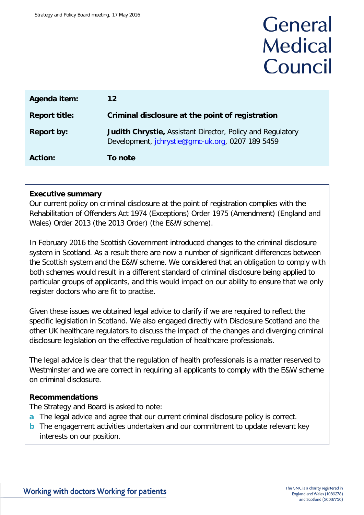# General **Medical** Council

| Agenda item:         | $12 \overline{ }$                                                                                              |  |  |
|----------------------|----------------------------------------------------------------------------------------------------------------|--|--|
| <b>Report title:</b> | Criminal disclosure at the point of registration                                                               |  |  |
| <b>Report by:</b>    | Judith Chrystie, Assistant Director, Policy and Regulatory<br>Development, jchrystie@gmc-uk.org, 0207 189 5459 |  |  |
| <b>Action:</b>       | To note                                                                                                        |  |  |

#### **Executive summary**

Our current policy on criminal disclosure at the point of registration complies with the Rehabilitation of Offenders Act 1974 (Exceptions) Order 1975 (Amendment) (England and Wales) Order 2013 (the 2013 Order) (the E&W scheme).

In February 2016 the Scottish Government introduced changes to the criminal disclosure system in Scotland. As a result there are now a number of significant differences between the Scottish system and the E&W scheme. We considered that an obligation to comply with both schemes would result in a different standard of criminal disclosure being applied to particular groups of applicants, and this would impact on our ability to ensure that we only register doctors who are fit to practise.

Given these issues we obtained legal advice to clarify if we are required to reflect the specific legislation in Scotland. We also engaged directly with Disclosure Scotland and the other UK healthcare regulators to discuss the impact of the changes and diverging criminal disclosure legislation on the effective regulation of healthcare professionals.

The legal advice is clear that the regulation of health professionals is a matter reserved to Westminster and we are correct in requiring all applicants to comply with the E&W scheme on criminal disclosure.

#### **Recommendations**

The Strategy and Board is asked to note:

- **a** The legal advice and agree that our current criminal disclosure policy is correct.
- **b** The engagement activities undertaken and our commitment to update relevant key interests on our position.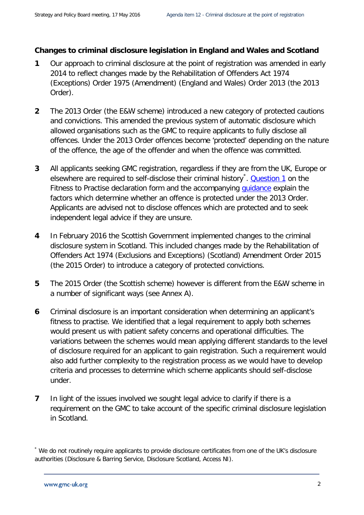#### **Changes to criminal disclosure legislation in England and Wales and Scotland**

- **1** Our approach to criminal disclosure at the point of registration was amended in early 2014 to reflect changes made by the Rehabilitation of Offenders Act 1974 (Exceptions) Order 1975 (Amendment) (England and Wales) Order 2013 (the 2013 Order).
- **2** The 2013 Order (the E&W scheme) introduced a new category of protected cautions and convictions. This amended the previous system of automatic disclosure which allowed organisations such as the GMC to require applicants to fully disclose all offences. Under the 2013 Order offences become 'protected' depending on the nature of the offence, the age of the offender and when the offence was committed.
- **3** All applicants seeking GMC registration, regardless if they are from the UK, Europe or elsewhere are required to self-disclose their criminal history<sup>[\\*](#page-1-0)</sup>. <u>[Question 1](http://www.gmc-uk.org/doctors/registration_applications/declaration_of_ftp.asp#DeclaringFtP)</u> on the Fitness to Practise declaration form and the accompanying quidance explain the factors which determine whether an offence is protected under the 2013 Order. Applicants are advised not to disclose offences which are protected and to seek independent legal advice if they are unsure.
- **4** In February 2016 the Scottish Government implemented changes to the criminal disclosure system in Scotland. This included changes made by the Rehabilitation of Offenders Act 1974 (Exclusions and Exceptions) (Scotland) Amendment Order 2015 (the 2015 Order) to introduce a category of protected convictions.
- **5** The 2015 Order (the Scottish scheme) however is different from the E&W scheme in a number of significant ways (see Annex A).
- **6** Criminal disclosure is an important consideration when determining an applicant's fitness to practise. We identified that a legal requirement to apply both schemes would present us with patient safety concerns and operational difficulties. The variations between the schemes would mean applying different standards to the level of disclosure required for an applicant to gain registration. Such a requirement would also add further complexity to the registration process as we would have to develop criteria and processes to determine which scheme applicants should self-disclose under.
- **7** In light of the issues involved we sought legal advice to clarify if there is a requirement on the GMC to take account of the specific criminal disclosure legislation in Scotland.

<span id="page-1-0"></span><sup>\*</sup> We do not routinely require applicants to provide disclosure certificates from one of the UK's disclosure authorities (Disclosure & Barring Service, Disclosure Scotland, Access NI).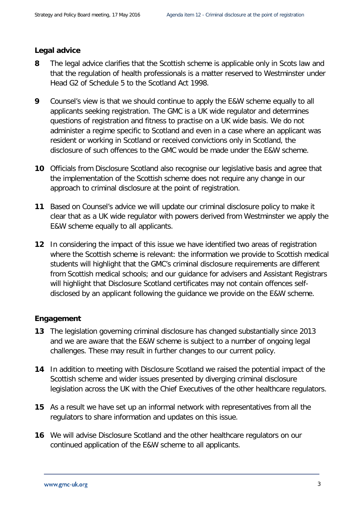#### **Legal advice**

- **8** The legal advice clarifies that the Scottish scheme is applicable only in Scots law and that the regulation of health professionals is a matter reserved to Westminster under Head G2 of Schedule 5 to the Scotland Act 1998.
- **9** Counsel's view is that we should continue to apply the E&W scheme equally to all applicants seeking registration. The GMC is a UK wide regulator and determines questions of registration and fitness to practise on a UK wide basis. We do not administer a regime specific to Scotland and even in a case where an applicant was resident or working in Scotland or received convictions only in Scotland, the disclosure of such offences to the GMC would be made under the E&W scheme.
- **10** Officials from Disclosure Scotland also recognise our legislative basis and agree that the implementation of the Scottish scheme does not require any change in our approach to criminal disclosure at the point of registration.
- **11** Based on Counsel's advice we will update our criminal disclosure policy to make it clear that as a UK wide regulator with powers derived from Westminster we apply the E&W scheme equally to all applicants.
- **12** In considering the impact of this issue we have identified two areas of registration where the Scottish scheme is relevant: the information we provide to Scottish medical students will highlight that the GMC's criminal disclosure requirements are different from Scottish medical schools; and our guidance for advisers and Assistant Registrars will highlight that Disclosure Scotland certificates may not contain offences selfdisclosed by an applicant following the guidance we provide on the E&W scheme.

#### **Engagement**

- **13** The legislation governing criminal disclosure has changed substantially since 2013 and we are aware that the E&W scheme is subject to a number of ongoing legal challenges. These may result in further changes to our current policy.
- **14** In addition to meeting with Disclosure Scotland we raised the potential impact of the Scottish scheme and wider issues presented by diverging criminal disclosure legislation across the UK with the Chief Executives of the other healthcare regulators.
- **15** As a result we have set up an informal network with representatives from all the regulators to share information and updates on this issue.
- **16** We will advise Disclosure Scotland and the other healthcare regulators on our continued application of the E&W scheme to all applicants.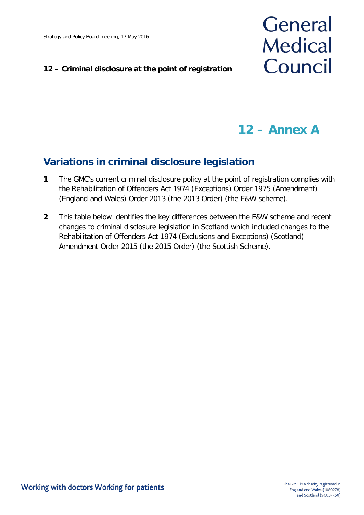#### **12 – Criminal disclosure at the point of registration**

# General **Medical** Council

### **12 – Annex A**

### **Variations in criminal disclosure legislation**

- **1** The GMC's current criminal disclosure policy at the point of registration complies with the Rehabilitation of Offenders Act 1974 (Exceptions) Order 1975 (Amendment) (England and Wales) Order 2013 (the 2013 Order) (the E&W scheme).
- **2** This table below identifies the key differences between the E&W scheme and recent changes to criminal disclosure legislation in Scotland which included changes to the Rehabilitation of Offenders Act 1974 (Exclusions and Exceptions) (Scotland) Amendment Order 2015 (the 2015 Order) (the Scottish Scheme).